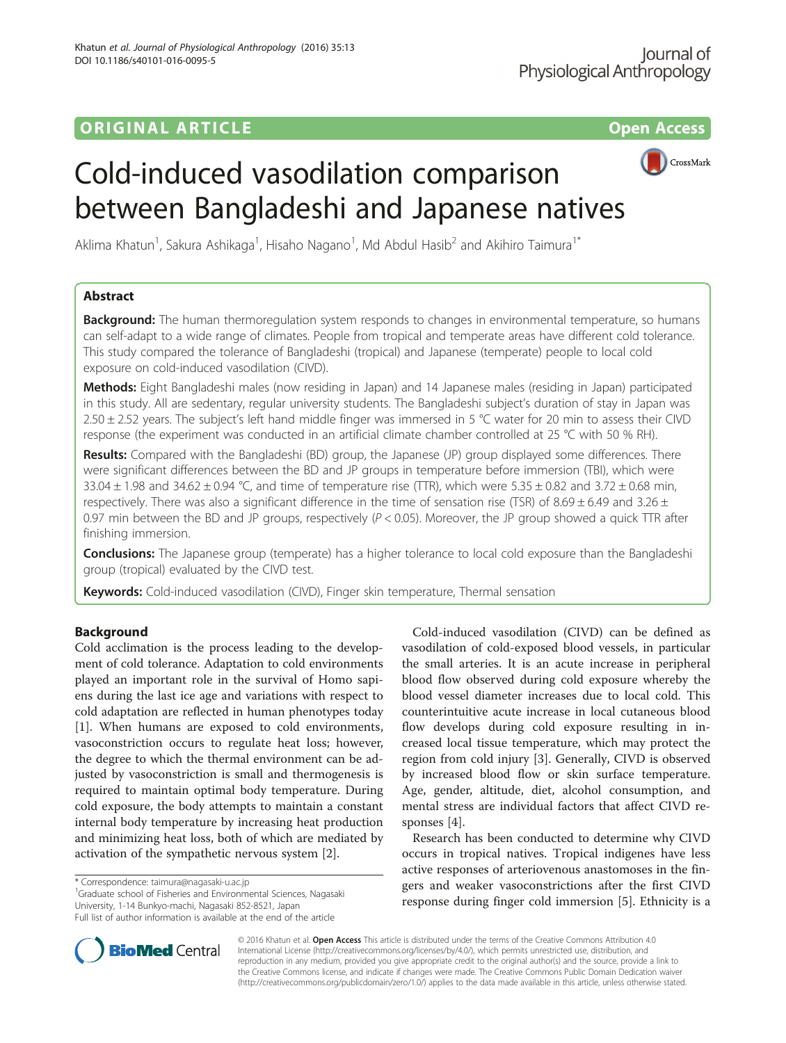# ORIGINAL ARTICLE **CONSERVANCE IN A LOCAL CONSERVANCE IN A LOCAL CONSERVANCE IN A LOCAL CONSERVANCE IN A LOCAL CONS**



# Cold-induced vasodilation comparison between Bangladeshi and Japanese natives

Aklima Khatun<sup>1</sup>, Sakura Ashikaga<sup>1</sup>, Hisaho Nagano<sup>1</sup>, Md Abdul Hasib<sup>2</sup> and Akihiro Taimura<sup>1\*</sup>

# Abstract

**Background:** The human thermoregulation system responds to changes in environmental temperature, so humans can self-adapt to a wide range of climates. People from tropical and temperate areas have different cold tolerance. This study compared the tolerance of Bangladeshi (tropical) and Japanese (temperate) people to local cold exposure on cold-induced vasodilation (CIVD).

Methods: Eight Bangladeshi males (now residing in Japan) and 14 Japanese males (residing in Japan) participated in this study. All are sedentary, regular university students. The Bangladeshi subject's duration of stay in Japan was 2.50 ± 2.52 years. The subject's left hand middle finger was immersed in 5 °C water for 20 min to assess their CIVD response (the experiment was conducted in an artificial climate chamber controlled at 25 °C with 50 % RH).

Results: Compared with the Bangladeshi (BD) group, the Japanese (JP) group displayed some differences. There were significant differences between the BD and JP groups in temperature before immersion (TBI), which were 33.04  $\pm$  1.98 and 34.62  $\pm$  0.94 °C, and time of temperature rise (TTR), which were 5.35  $\pm$  0.82 and 3.72  $\pm$  0.68 min, respectively. There was also a significant difference in the time of sensation rise (TSR) of 8.69  $\pm$  6.49 and 3.26  $\pm$ 0.97 min between the BD and JP groups, respectively ( $P < 0.05$ ). Moreover, the JP group showed a quick TTR after finishing immersion.

Conclusions: The Japanese group (temperate) has a higher tolerance to local cold exposure than the Bangladeshi group (tropical) evaluated by the CIVD test.

Keywords: Cold-induced vasodilation (CIVD), Finger skin temperature, Thermal sensation

### Background

Cold acclimation is the process leading to the development of cold tolerance. Adaptation to cold environments played an important role in the survival of Homo sapiens during the last ice age and variations with respect to cold adaptation are reflected in human phenotypes today [[1\]](#page-4-0). When humans are exposed to cold environments, vasoconstriction occurs to regulate heat loss; however, the degree to which the thermal environment can be adjusted by vasoconstriction is small and thermogenesis is required to maintain optimal body temperature. During cold exposure, the body attempts to maintain a constant internal body temperature by increasing heat production and minimizing heat loss, both of which are mediated by activation of the sympathetic nervous system [\[2](#page-4-0)].

\* Correspondence: [taimura@nagasaki-u.ac.jp](mailto:taimura@nagasaki-u.ac.jp) <sup>1</sup>

 ${}^{1}$ Graduate school of Fisheries and Environmental Sciences, Nagasaki University, 1-14 Bunkyo-machi, Nagasaki 852-8521, Japan



Research has been conducted to determine why CIVD occurs in tropical natives. Tropical indigenes have less active responses of arteriovenous anastomoses in the fingers and weaker vasoconstrictions after the first CIVD response during finger cold immersion [\[5](#page-4-0)]. Ethnicity is a



© 2016 Khatun et al. Open Access This article is distributed under the terms of the Creative Commons Attribution 4.0 International License [\(http://creativecommons.org/licenses/by/4.0/](http://creativecommons.org/licenses/by/4.0/)), which permits unrestricted use, distribution, and reproduction in any medium, provided you give appropriate credit to the original author(s) and the source, provide a link to the Creative Commons license, and indicate if changes were made. The Creative Commons Public Domain Dedication waiver [\(http://creativecommons.org/publicdomain/zero/1.0/](http://creativecommons.org/publicdomain/zero/1.0/)) applies to the data made available in this article, unless otherwise stated.

Full list of author information is available at the end of the article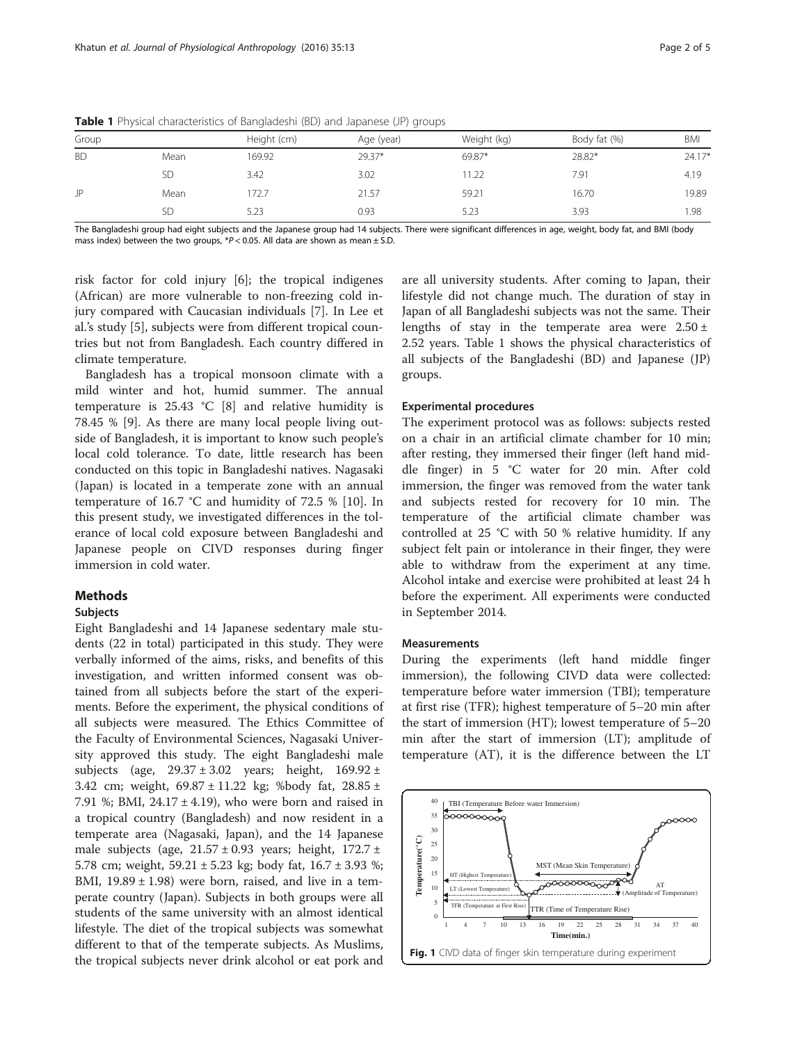| Group     |           | Height (cm) | Age (year) | Weight (kg) | Body fat (%) | <b>BMI</b> |
|-----------|-----------|-------------|------------|-------------|--------------|------------|
| <b>BD</b> | Mean      | 169.92      | 29.37*     | 69.87*      | 28.82*       | $24.17*$   |
|           | <b>SD</b> | 3.42        | 3.02       | 11.22       | 7.91         | 4.19       |
| JP        | Mean      | 172.7       | 21.57      | 59.21       | 16.70        | 19.89      |
|           | <b>SD</b> | 5.23        | 0.93       | 5.23        | 3.93         | 1.98       |

<span id="page-1-0"></span>Table 1 Physical characteristics of Bangladeshi (BD) and Japanese (JP) groups

The Bangladeshi group had eight subjects and the Japanese group had 14 subjects. There were significant differences in age, weight, body fat, and BMI (body mass index) between the two groups,  $P < 0.05$ . All data are shown as mean  $\pm$  S.D.

risk factor for cold injury [\[6](#page-4-0)]; the tropical indigenes (African) are more vulnerable to non-freezing cold injury compared with Caucasian individuals [[7](#page-4-0)]. In Lee et al.'s study [[5\]](#page-4-0), subjects were from different tropical countries but not from Bangladesh. Each country differed in climate temperature.

Bangladesh has a tropical monsoon climate with a mild winter and hot, humid summer. The annual temperature is 25.43 °C [\[8\]](#page-4-0) and relative humidity is 78.45 % [\[9](#page-4-0)]. As there are many local people living outside of Bangladesh, it is important to know such people's local cold tolerance. To date, little research has been conducted on this topic in Bangladeshi natives. Nagasaki (Japan) is located in a temperate zone with an annual temperature of 16.7 °C and humidity of 72.5 % [[10\]](#page-4-0). In this present study, we investigated differences in the tolerance of local cold exposure between Bangladeshi and Japanese people on CIVD responses during finger immersion in cold water.

#### **Methods**

#### Subjects

Eight Bangladeshi and 14 Japanese sedentary male students (22 in total) participated in this study. They were verbally informed of the aims, risks, and benefits of this investigation, and written informed consent was obtained from all subjects before the start of the experiments. Before the experiment, the physical conditions of all subjects were measured. The Ethics Committee of the Faculty of Environmental Sciences, Nagasaki University approved this study. The eight Bangladeshi male subjects (age,  $29.37 \pm 3.02$  years; height,  $169.92 \pm$ 3.42 cm; weight, 69.87 ± 11.22 kg; %body fat, 28.85 ± 7.91 %; BMI,  $24.17 \pm 4.19$ ), who were born and raised in a tropical country (Bangladesh) and now resident in a temperate area (Nagasaki, Japan), and the 14 Japanese male subjects (age,  $21.57 \pm 0.93$  years; height,  $172.7 \pm 0.93$ 5.78 cm; weight, 59.21 ± 5.23 kg; body fat, 16.7 ± 3.93 %; BMI,  $19.89 \pm 1.98$ ) were born, raised, and live in a temperate country (Japan). Subjects in both groups were all students of the same university with an almost identical lifestyle. The diet of the tropical subjects was somewhat different to that of the temperate subjects. As Muslims, the tropical subjects never drink alcohol or eat pork and

are all university students. After coming to Japan, their lifestyle did not change much. The duration of stay in Japan of all Bangladeshi subjects was not the same. Their lengths of stay in the temperate area were  $2.50 \pm$ 2.52 years. Table 1 shows the physical characteristics of all subjects of the Bangladeshi (BD) and Japanese (JP) groups.

#### Experimental procedures

The experiment protocol was as follows: subjects rested on a chair in an artificial climate chamber for 10 min; after resting, they immersed their finger (left hand middle finger) in 5 °C water for 20 min. After cold immersion, the finger was removed from the water tank and subjects rested for recovery for 10 min. The temperature of the artificial climate chamber was controlled at 25 °C with 50 % relative humidity. If any subject felt pain or intolerance in their finger, they were able to withdraw from the experiment at any time. Alcohol intake and exercise were prohibited at least 24 h before the experiment. All experiments were conducted in September 2014.

#### Measurements

During the experiments (left hand middle finger immersion), the following CIVD data were collected: temperature before water immersion (TBI); temperature at first rise (TFR); highest temperature of 5–20 min after the start of immersion (HT); lowest temperature of 5–20 min after the start of immersion (LT); amplitude of temperature (AT), it is the difference between the LT

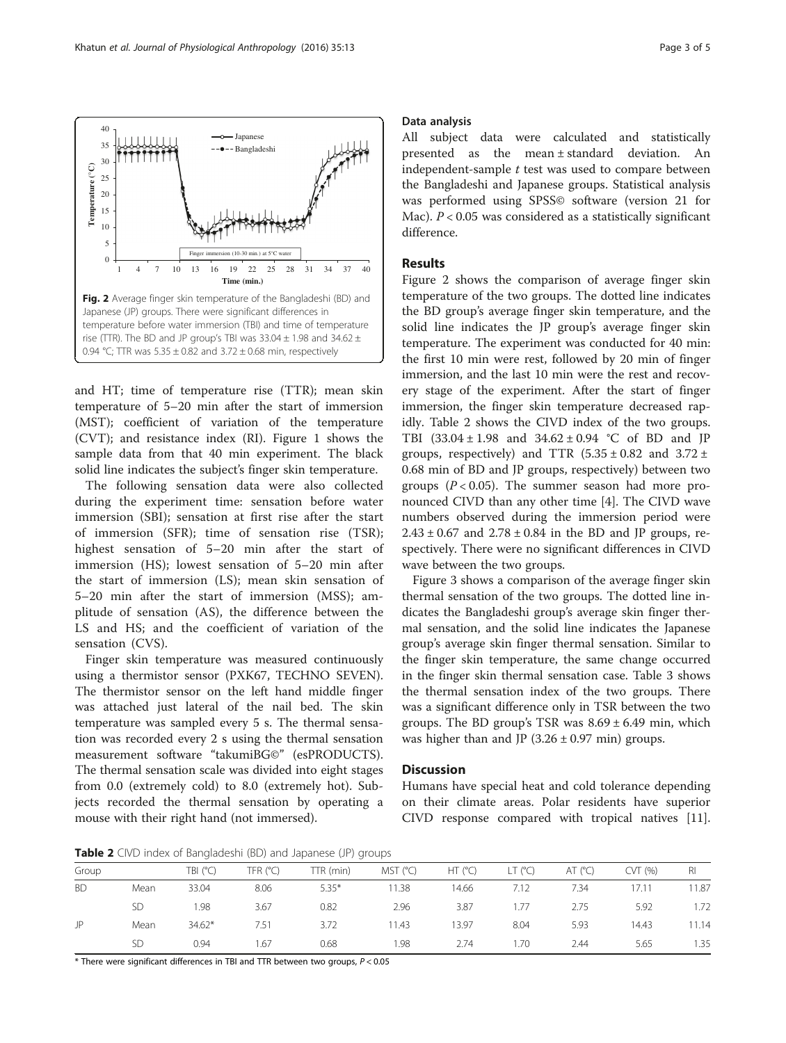

and HT; time of temperature rise (TTR); mean skin temperature of 5–20 min after the start of immersion (MST); coefficient of variation of the temperature (CVT); and resistance index (RI). Figure [1](#page-1-0) shows the sample data from that 40 min experiment. The black solid line indicates the subject's finger skin temperature.

The following sensation data were also collected during the experiment time: sensation before water immersion (SBI); sensation at first rise after the start of immersion (SFR); time of sensation rise (TSR); highest sensation of 5–20 min after the start of immersion (HS); lowest sensation of 5–20 min after the start of immersion (LS); mean skin sensation of 5–20 min after the start of immersion (MSS); amplitude of sensation (AS), the difference between the LS and HS; and the coefficient of variation of the sensation (CVS).

Finger skin temperature was measured continuously using a thermistor sensor (PXK67, TECHNO SEVEN). The thermistor sensor on the left hand middle finger was attached just lateral of the nail bed. The skin temperature was sampled every 5 s. The thermal sensation was recorded every 2 s using the thermal sensation measurement software "takumiBG©" (esPRODUCTS). The thermal sensation scale was divided into eight stages from 0.0 (extremely cold) to 8.0 (extremely hot). Subjects recorded the thermal sensation by operating a mouse with their right hand (not immersed).

#### Data analysis

All subject data were calculated and statistically presented as the mean ± standard deviation. An independent-sample  $t$  test was used to compare between the Bangladeshi and Japanese groups. Statistical analysis was performed using SPSS© software (version 21 for Mac).  $P < 0.05$  was considered as a statistically significant difference.

#### Results

Figure 2 shows the comparison of average finger skin temperature of the two groups. The dotted line indicates the BD group's average finger skin temperature, and the solid line indicates the JP group's average finger skin temperature. The experiment was conducted for 40 min: the first 10 min were rest, followed by 20 min of finger immersion, and the last 10 min were the rest and recovery stage of the experiment. After the start of finger immersion, the finger skin temperature decreased rapidly. Table 2 shows the CIVD index of the two groups. TBI (33.04 ± 1.98 and 34.62 ± 0.94 °C of BD and JP groups, respectively) and TTR  $(5.35 \pm 0.82$  and  $3.72 \pm 0.82$ 0.68 min of BD and JP groups, respectively) between two groups ( $P < 0.05$ ). The summer season had more pronounced CIVD than any other time [[4\]](#page-4-0). The CIVD wave numbers observed during the immersion period were  $2.43 \pm 0.67$  and  $2.78 \pm 0.84$  in the BD and JP groups, respectively. There were no significant differences in CIVD wave between the two groups.

Figure [3](#page-3-0) shows a comparison of the average finger skin thermal sensation of the two groups. The dotted line indicates the Bangladeshi group's average skin finger thermal sensation, and the solid line indicates the Japanese group's average skin finger thermal sensation. Similar to the finger skin temperature, the same change occurred in the finger skin thermal sensation case. Table [3](#page-3-0) shows the thermal sensation index of the two groups. There was a significant difference only in TSR between the two groups. The BD group's TSR was  $8.69 \pm 6.49$  min, which was higher than and JP  $(3.26 \pm 0.97 \text{ min})$  groups.

#### **Discussion**

Humans have special heat and cold tolerance depending on their climate areas. Polar residents have superior CIVD response compared with tropical natives [\[11](#page-4-0)].

**Table 2** CIVD index of Bangladeshi (BD) and Japanese (JP) groups

| Group     |           | TBI (°C) | TFR $(C)$ | TTR (min) | MST (°C) | HT (°C) | $LT$ (°C) | AT (°C) | CVT(%) | RI    |
|-----------|-----------|----------|-----------|-----------|----------|---------|-----------|---------|--------|-------|
| <b>BD</b> | Mean      | 33.04    | 8.06      | $5.35*$   | 11.38    | 14.66   | 7.12      | 7.34    | 17.11  | 11.87 |
|           | <b>SD</b> | .98      | 3.67      | 0.82      | 2.96     | 3.87    | 1.77      | 2.75    | 5.92   | 1.72  |
| JP        | Mean      | $34.62*$ | 7.51      | 3.72      | 11.43    | 13.97   | 8.04      | 5.93    | 14.43  | 11.14 |
|           | <b>SD</b> | 0.94     | 1.67      | 0.68      | 1.98     | 2.74    | 1.70      | 2.44    | 5.65   | 1.35  |

 $*$  There were significant differences in TBI and TTR between two groups,  $P < 0.05$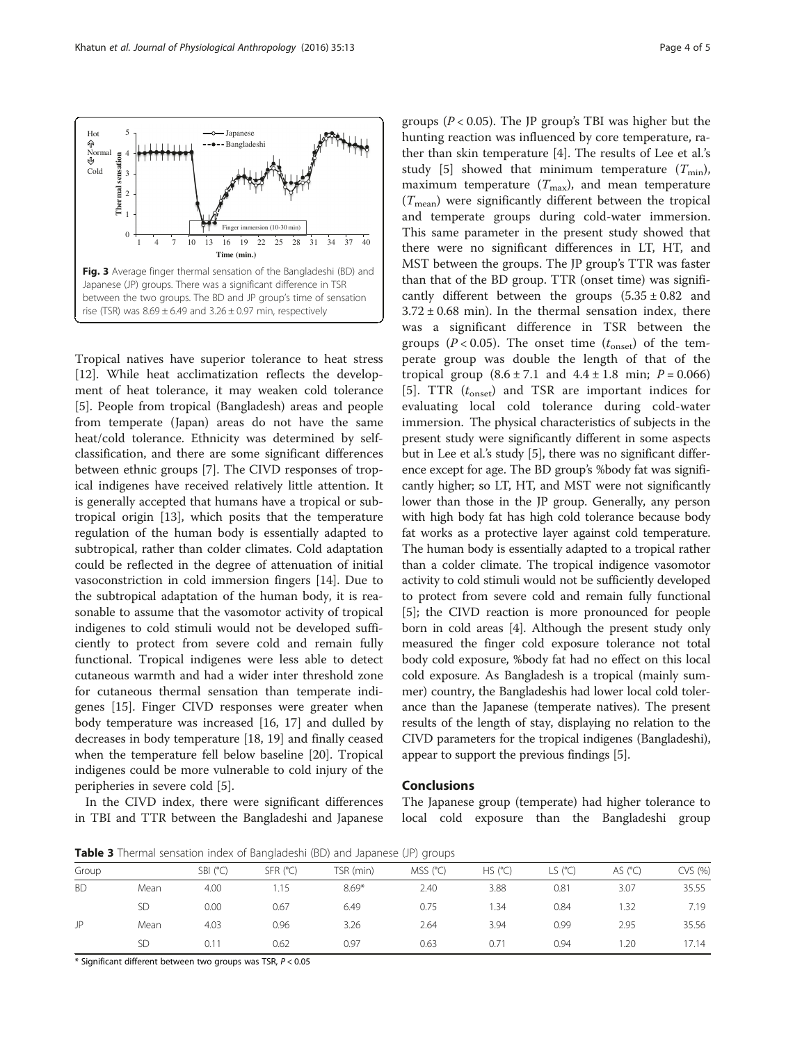<span id="page-3-0"></span>

Tropical natives have superior tolerance to heat stress [[12\]](#page-4-0). While heat acclimatization reflects the development of heat tolerance, it may weaken cold tolerance [[5\]](#page-4-0). People from tropical (Bangladesh) areas and people from temperate (Japan) areas do not have the same heat/cold tolerance. Ethnicity was determined by selfclassification, and there are some significant differences between ethnic groups [\[7](#page-4-0)]. The CIVD responses of tropical indigenes have received relatively little attention. It is generally accepted that humans have a tropical or subtropical origin [\[13](#page-4-0)], which posits that the temperature regulation of the human body is essentially adapted to subtropical, rather than colder climates. Cold adaptation could be reflected in the degree of attenuation of initial vasoconstriction in cold immersion fingers [\[14](#page-4-0)]. Due to the subtropical adaptation of the human body, it is reasonable to assume that the vasomotor activity of tropical indigenes to cold stimuli would not be developed sufficiently to protect from severe cold and remain fully functional. Tropical indigenes were less able to detect cutaneous warmth and had a wider inter threshold zone for cutaneous thermal sensation than temperate indigenes [\[15](#page-4-0)]. Finger CIVD responses were greater when body temperature was increased [[16](#page-4-0), [17](#page-4-0)] and dulled by decreases in body temperature [[18, 19](#page-4-0)] and finally ceased when the temperature fell below baseline [\[20\]](#page-4-0). Tropical indigenes could be more vulnerable to cold injury of the peripheries in severe cold [\[5](#page-4-0)].

In the CIVD index, there were significant differences in TBI and TTR between the Bangladeshi and Japanese groups ( $P < 0.05$ ). The JP group's TBI was higher but the hunting reaction was influenced by core temperature, rather than skin temperature [\[4](#page-4-0)]. The results of Lee et al.'s study [[5\]](#page-4-0) showed that minimum temperature  $(T_{\text{min}})$ , maximum temperature  $(T_{\text{max}})$ , and mean temperature  $(T_{\text{mean}})$  were significantly different between the tropical and temperate groups during cold-water immersion. This same parameter in the present study showed that there were no significant differences in LT, HT, and MST between the groups. The JP group's TTR was faster than that of the BD group. TTR (onset time) was significantly different between the groups  $(5.35 \pm 0.82)$  and  $3.72 \pm 0.68$  min). In the thermal sensation index, there was a significant difference in TSR between the groups ( $P < 0.05$ ). The onset time ( $t_{\text{onset}}$ ) of the temperate group was double the length of that of the tropical group  $(8.6 \pm 7.1 \text{ and } 4.4 \pm 1.8 \text{ min}; P = 0.066)$ [[5](#page-4-0)]. TTR  $(t_{onset})$  and TSR are important indices for evaluating local cold tolerance during cold-water immersion. The physical characteristics of subjects in the present study were significantly different in some aspects but in Lee et al.'s study [\[5](#page-4-0)], there was no significant difference except for age. The BD group's %body fat was significantly higher; so LT, HT, and MST were not significantly lower than those in the JP group. Generally, any person with high body fat has high cold tolerance because body fat works as a protective layer against cold temperature. The human body is essentially adapted to a tropical rather than a colder climate. The tropical indigence vasomotor activity to cold stimuli would not be sufficiently developed to protect from severe cold and remain fully functional [[5\]](#page-4-0); the CIVD reaction is more pronounced for people born in cold areas [[4\]](#page-4-0). Although the present study only measured the finger cold exposure tolerance not total body cold exposure, %body fat had no effect on this local cold exposure. As Bangladesh is a tropical (mainly summer) country, the Bangladeshis had lower local cold tolerance than the Japanese (temperate natives). The present results of the length of stay, displaying no relation to the CIVD parameters for the tropical indigenes (Bangladeshi), appear to support the previous findings [[5\]](#page-4-0).

#### Conclusions

The Japanese group (temperate) had higher tolerance to local cold exposure than the Bangladeshi group

**Table 3** Thermal sensation index of Bangladeshi (BD) and Japanese (JP) groups

| Group     |      | SBI (°C) | $SFR$ ( $°C$ ) | TSR (min) | MSS (°C) | HS (°C) | LS $(^{\circ}C)$ | AS $(^{\circ}C)$ | CVS (%) |  |  |
|-----------|------|----------|----------------|-----------|----------|---------|------------------|------------------|---------|--|--|
| <b>BD</b> | Mean | 4.00     | 1.15           | $8.69*$   | 2.40     | 3.88    | 0.81             | 3.07             | 35.55   |  |  |
|           | SD   | 0.00     | 0.67           | 6.49      | 0.75     | 1.34    | 0.84             | .32              | 7.19    |  |  |
| JP        | Mean | 4.03     | 0.96           | 3.26      | 2.64     | 3.94    | 0.99             | 2.95             | 35.56   |  |  |
|           | SD   | 0.11     | 0.62           | 0.97      | 0.63     | 0.71    | 0.94             | .20              | 17.14   |  |  |

 $*$  Significant different between two groups was TSR,  $P < 0.05$